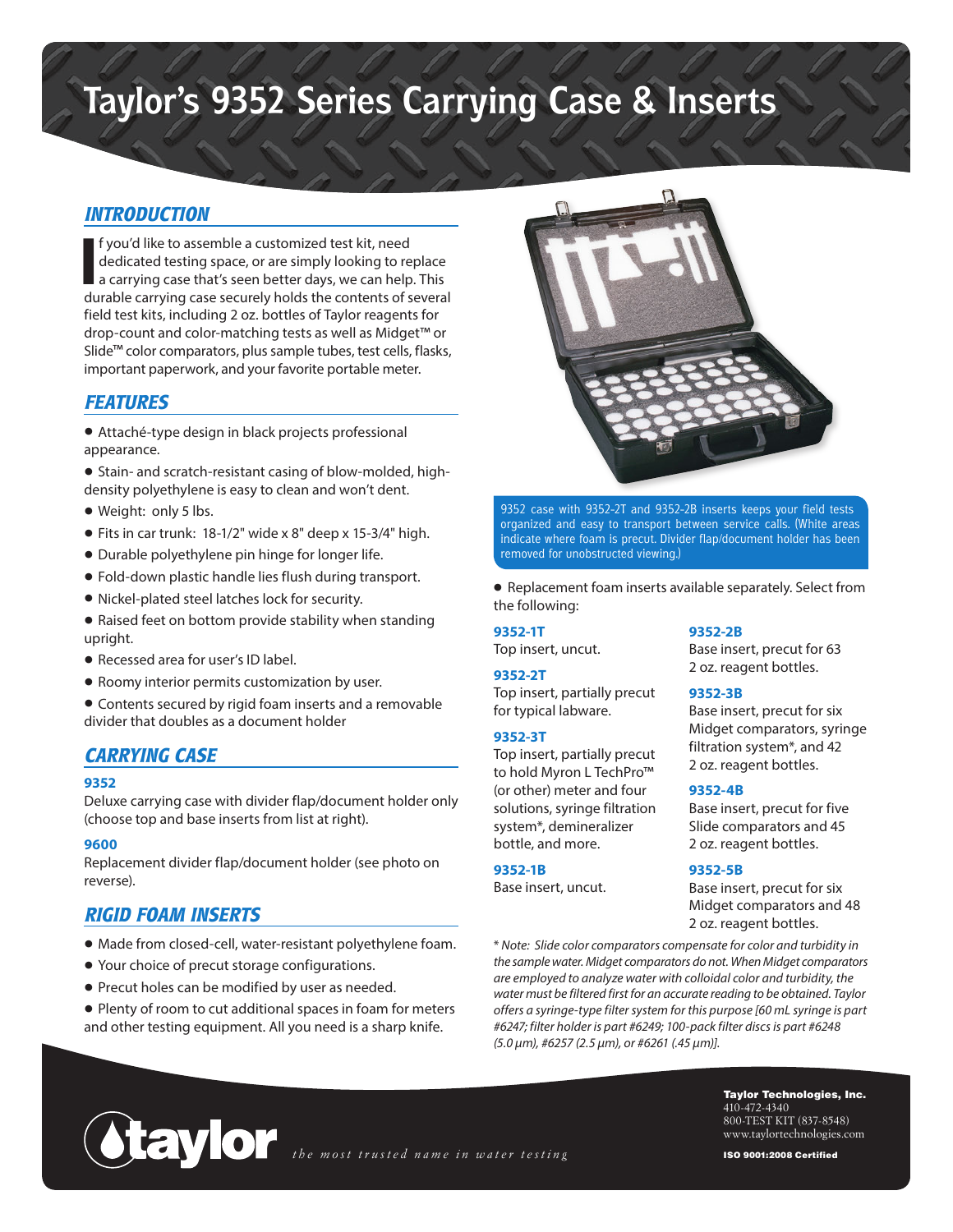# **Taylor's 9352 Series Carrying Case & Inserts**

# *INTRODUCTION*

**I** f you'd like to assemble a customized test kit, need<br>dedicated testing space, or are simply looking to replace<br>a carrying case that's seen better days, we can help. This<br>durable carrying case securely holds the content f you'd like to assemble a customized test kit, need dedicated testing space, or are simply looking to replace a carrying case that's seen better days, we can help. This field test kits, including 2 oz. bottles of Taylor reagents for drop-count and color-matching tests as well as Midget™ or Slide™ color comparators, plus sample tubes, test cells, flasks, important paperwork, and your favorite portable meter.

# *FEATURES*

- Attaché-type design in black projects professional appearance.
- Stain- and scratch-resistant casing of blow-molded, highdensity polyethylene is easy to clean and won't dent.
- Weight: only 5 lbs.
- Fits in car trunk: 18-1/2" wide x 8" deep x 15-3/4" high.
- Durable polyethylene pin hinge for longer life.
- Fold-down plastic handle lies flush during transport.
- Nickel-plated steel latches lock for security.
- Raised feet on bottom provide stability when standing upright.
- Recessed area for user's ID label.
- Roomy interior permits customization by user.
- Contents secured by rigid foam inserts and a removable divider that doubles as a document holder

# *CARRYING CASE*

## **9352**

Deluxe carrying case with divider flap/document holder only (choose top and base inserts from list at right).

#### **9600**

Replacement divider flap/document holder (see photo on reverse).

# *RIGID FOAM INSERTS*

- Made from closed-cell, water-resistant polyethylene foam.
- Your choice of precut storage configurations.
- Precut holes can be modified by user as needed.
- Plenty of room to cut additional spaces in foam for meters and other testing equipment. All you need is a sharp knife.



9352 case with 9352-2T and 9352-2B inserts keeps your field tests organized and easy to transport between service calls. (White areas indicate where foam is precut. Divider flap/document holder has been removed for unobstructed viewing.)

• Replacement foam inserts available separately. Select from the following:

## **9352-1T**

Top insert, uncut.

## **9352-2T**

Top insert, partially precut for typical labware.

## **9352-3T**

Top insert, partially precut to hold Myron L TechPro™ (or other) meter and four solutions, syringe filtration system\*, demineralizer bottle, and more.

# **9352-1B**

Base insert, uncut.

# **9352-2B**

Base insert, precut for 63 2 oz. reagent bottles.

## **9352-3B**

Base insert, precut for six Midget comparators, syringe filtration system\*, and 42 2 oz. reagent bottles.

#### **9352-4B**

Base insert, precut for five Slide comparators and 45 2 oz. reagent bottles.

## **9352-5B**

Base insert, precut for six Midget comparators and 48 2 oz. reagent bottles.

\* *Note: Slide color comparators compensate for color and turbidity in the sample water. Midget comparators do not. When Midget comparators are employed to analyze water with colloidal color and turbidity, the water must be filtered first for an accurate reading to be obtained. Taylor offers a syringe-type filter system for this purpose [60 mL syringe is part #6247; filter holder is part #6249; 100-pack filter discs is part #6248 (5.0 µm), #6257 (2.5 µm), or #6261 (.45 µm)].*

*the most trusted name in water testing*

Taylor Technologies, Inc. 410-472-4340 800-TEST KIT (837-8548) www.taylortechnologies.com

ISO 9001:2008 Certified